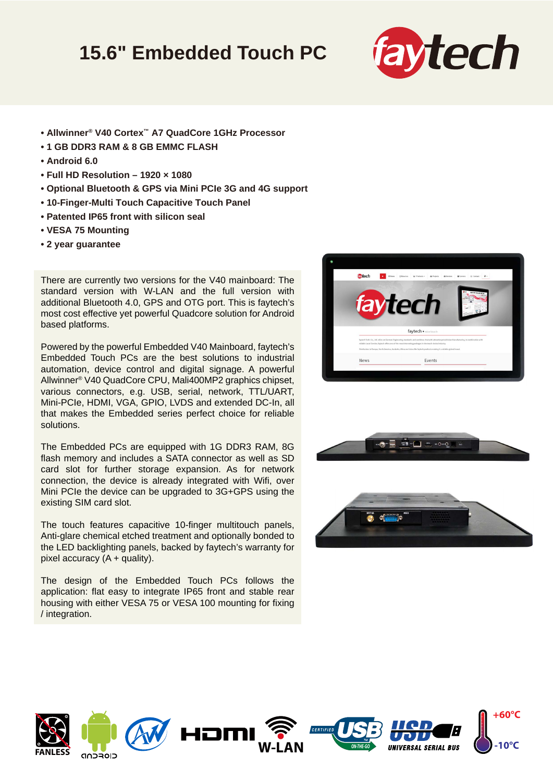## **15.6" Embedded Touch PC**



- **Allwinner® V40 Cortex™ A7 QuadCore 1GHz Processor**
- **1 GB DDR3 RAM & 8 GB EMMC FLASH**
- **Android 6.0**
- **Full HD Resolution 1920 × 1080**
- **Optional Bluetooth & GPS via Mini PCIe 3G and 4G support**
- **10-Finger-Multi Touch Capacitive Touch Panel**
- **Patented IP65 front with silicon seal**
- **VESA 75 Mounting**
- **2 year guarantee**

There are currently two versions for the V40 mainboard: The standard version with W-LAN and the full version with additional Bluetooth 4.0, GPS and OTG port. This is faytech's most cost effective yet powerful Quadcore solution for Android based platforms.

Powered by the powerful Embedded V40 Mainboard, faytech's Embedded Touch PCs are the best solutions to industrial automation, device control and digital signage. A powerful Allwinner® V40 QuadCore CPU, Mali400MP2 graphics chipset, various connectors, e.g. USB, serial, network, TTL/UART, Mini-PCIe, HDMI, VGA, GPIO, LVDS and extended DC-In, all that makes the Embedded series perfect choice for reliable solutions.

The Embedded PCs are equipped with 1G DDR3 RAM, 8G flash memory and includes a SATA connector as well as SD card slot for further storage expansion. As for network connection, the device is already integrated with Wifi, over Mini PCIe the device can be upgraded to 3G+GPS using the existing SIM card slot.

The touch features capacitive 10-finger multitouch panels, Anti-glare chemical etched treatment and optionally bonded to the LED backlighting panels, backed by faytech's warranty for pixel accuracy  $(A +$  quality).

The design of the Embedded Touch PCs follows the application: flat easy to integrate IP65 front and stable rear housing with either VESA 75 or VESA 100 mounting for fixing / integration.